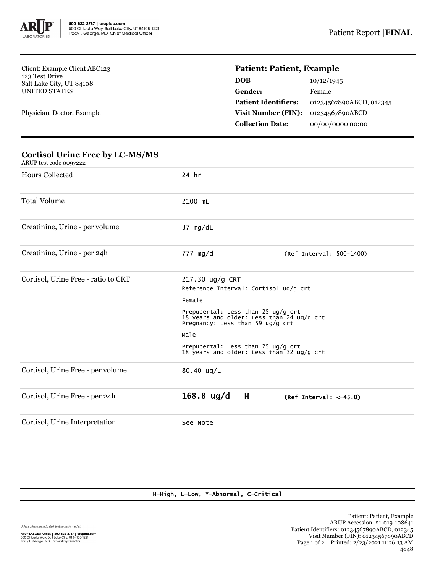

Client: Example Client ABC123 123 Test Drive Salt Lake City, UT 84108 UNITED STATES

Physician: Doctor, Example

**Cortisol Urine Free by LC-MS/MS**

## **Patient: Patient, Example**

| DOB                         | 10/12/1945              |
|-----------------------------|-------------------------|
| Gender:                     | Female                  |
| <b>Patient Identifiers:</b> | 01234567890ABCD, 012345 |
| Visit Number (FIN):         | 01234567890ABCD         |
| <b>Collection Date:</b>     | 00/00/0000 00:00        |
|                             |                         |

| ARUP test code 0097222              |                                                                                                                     |                              |  |
|-------------------------------------|---------------------------------------------------------------------------------------------------------------------|------------------------------|--|
| <b>Hours Collected</b>              | 24 hr                                                                                                               |                              |  |
| <b>Total Volume</b>                 | 2100 mL                                                                                                             |                              |  |
| Creatinine, Urine - per volume      | $37$ mg/dL                                                                                                          |                              |  |
| Creatinine, Urine - per 24h         | 777 mg/d                                                                                                            | (Ref Interval: 500-1400)     |  |
| Cortisol, Urine Free - ratio to CRT | 217.30 ug/g CRT<br>Reference Interval: Cortisol ug/g crt                                                            |                              |  |
|                                     | Female                                                                                                              |                              |  |
|                                     | Prepubertal: Less than 25 ug/g crt<br>18 years and older: Less than 24 ug/g crt<br>Pregnancy: Less than 59 ug/g crt |                              |  |
|                                     | Male                                                                                                                |                              |  |
|                                     | Prepubertal: Less than 25 ug/g crt<br>18 years and older: Less than 32 ug/g crt                                     |                              |  |
| Cortisol, Urine Free - per volume   | 80.40 ug/L                                                                                                          |                              |  |
| Cortisol, Urine Free - per 24h      | $168.8$ ug/d<br>H                                                                                                   | (Ref Interval: $\leq$ =45.0) |  |
| Cortisol, Urine Interpretation      | See Note                                                                                                            |                              |  |

## H=High, L=Low, \*=Abnormal, C=Critical

Unless otherwise indicated, testing performed at: